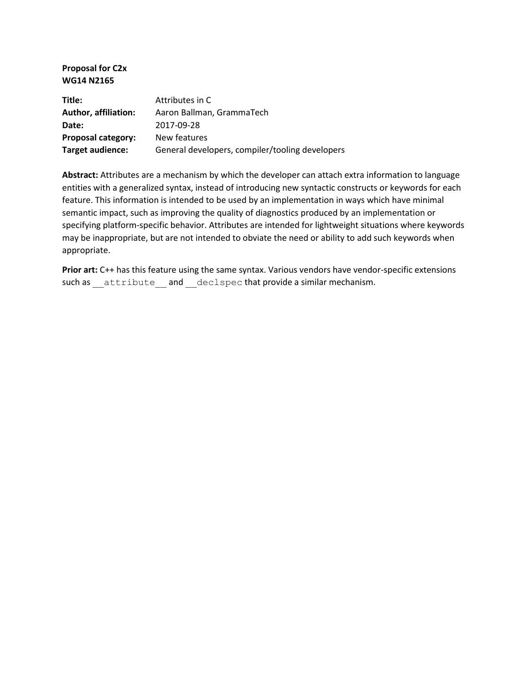#### **Proposal for C2x WG14 N2165**

| Title:               | Attributes in C                                 |
|----------------------|-------------------------------------------------|
| Author, affiliation: | Aaron Ballman, GrammaTech                       |
| Date:                | 2017-09-28                                      |
| Proposal category:   | New features                                    |
| Target audience:     | General developers, compiler/tooling developers |

**Abstract:** Attributes are a mechanism by which the developer can attach extra information to language entities with a generalized syntax, instead of introducing new syntactic constructs or keywords for each feature. This information is intended to be used by an implementation in ways which have minimal semantic impact, such as improving the quality of diagnostics produced by an implementation or specifying platform-specific behavior. Attributes are intended for lightweight situations where keywords may be inappropriate, but are not intended to obviate the need or ability to add such keywords when appropriate.

Prior art: C++ has this feature using the same syntax. Various vendors have vendor-specific extensions such as \_\_attribute \_\_and \_\_declspec that provide a similar mechanism.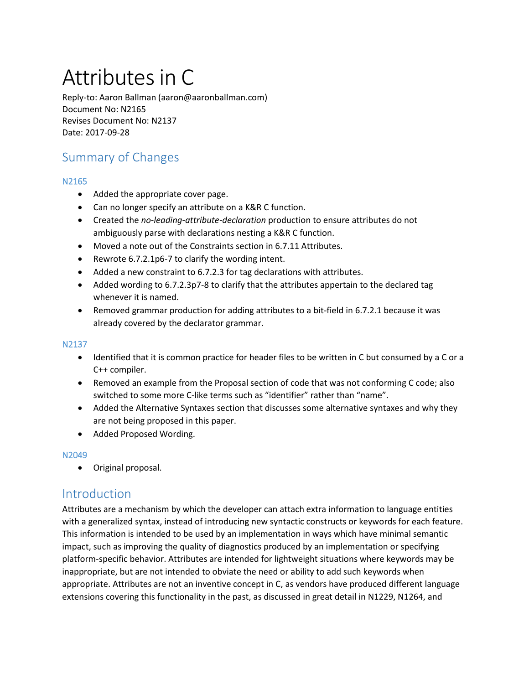# Attributes in C

Reply-to: Aaron Ballman (aaron@aaronballman.com) Document No: N2165 Revises Document No: N2137 Date: 2017-09-28

# Summary of Changes

#### N2165

- Added the appropriate cover page.
- Can no longer specify an attribute on a K&R C function.
- Created the *no-leading-attribute-declaration* production to ensure attributes do not ambiguously parse with declarations nesting a K&R C function.
- Moved a note out of the Constraints section in 6.7.11 Attributes.
- Rewrote 6.7.2.1p6-7 to clarify the wording intent.
- Added a new constraint to 6.7.2.3 for tag declarations with attributes.
- Added wording to 6.7.2.3p7-8 to clarify that the attributes appertain to the declared tag whenever it is named.
- Removed grammar production for adding attributes to a bit-field in 6.7.2.1 because it was already covered by the declarator grammar.

#### N2137

- Identified that it is common practice for header files to be written in C but consumed by a C or a C++ compiler.
- Removed an example from the Proposal section of code that was not conforming C code; also switched to some more C-like terms such as "identifier" rather than "name".
- Added the Alternative Syntaxes section that discusses some alternative syntaxes and why they are not being proposed in this paper.
- Added Proposed Wording.

#### N2049

• Original proposal.

# **Introduction**

Attributes are a mechanism by which the developer can attach extra information to language entities with a generalized syntax, instead of introducing new syntactic constructs or keywords for each feature. This information is intended to be used by an implementation in ways which have minimal semantic impact, such as improving the quality of diagnostics produced by an implementation or specifying platform-specific behavior. Attributes are intended for lightweight situations where keywords may be inappropriate, but are not intended to obviate the need or ability to add such keywords when appropriate. Attributes are not an inventive concept in C, as vendors have produced different language extensions covering this functionality in the past, as discussed in great detail in N1229, N1264, and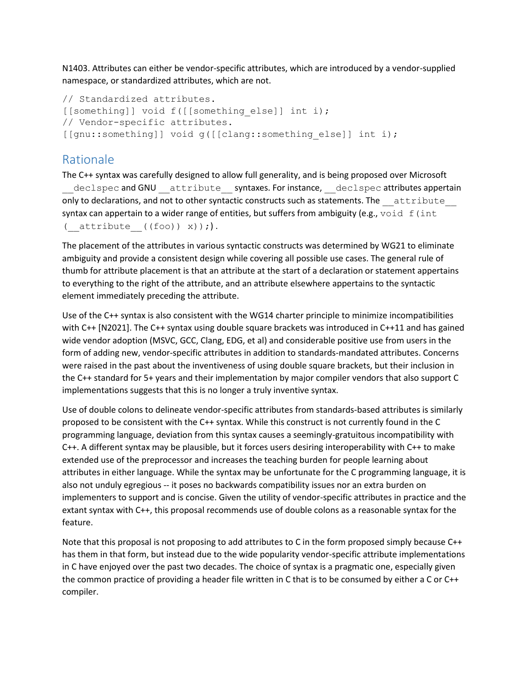N1403. Attributes can either be vendor-specific attributes, which are introduced by a vendor-supplied namespace, or standardized attributes, which are not.

```
// Standardized attributes.
[[something]] void f([[something else]] int i);
// Vendor-specific attributes.
[[gnu::something]] void g([[clang::something else]] int i);
```
# Rationale

The C++ syntax was carefully designed to allow full generality, and is being proposed over Microsoft declspec and GNU attribute syntaxes. For instance, declspec attributes appertain only to declarations, and not to other syntactic constructs such as statements. The attribute syntax can appertain to a wider range of entities, but suffers from ambiguity (e.g.,  $void f(int$ ( $attribute$  ((foo)) x));).

The placement of the attributes in various syntactic constructs was determined by WG21 to eliminate ambiguity and provide a consistent design while covering all possible use cases. The general rule of thumb for attribute placement is that an attribute at the start of a declaration or statement appertains to everything to the right of the attribute, and an attribute elsewhere appertains to the syntactic element immediately preceding the attribute.

Use of the C++ syntax is also consistent with the WG14 charter principle to minimize incompatibilities with C++ [N2021]. The C++ syntax using double square brackets was introduced in C++11 and has gained wide vendor adoption (MSVC, GCC, Clang, EDG, et al) and considerable positive use from users in the form of adding new, vendor-specific attributes in addition to standards-mandated attributes. Concerns were raised in the past about the inventiveness of using double square brackets, but their inclusion in the C++ standard for 5+ years and their implementation by major compiler vendors that also support C implementations suggests that this is no longer a truly inventive syntax.

Use of double colons to delineate vendor-specific attributes from standards-based attributes is similarly proposed to be consistent with the C++ syntax. While this construct is not currently found in the C programming language, deviation from this syntax causes a seemingly-gratuitous incompatibility with C++. A different syntax may be plausible, but it forces users desiring interoperability with C++ to make extended use of the preprocessor and increases the teaching burden for people learning about attributes in either language. While the syntax may be unfortunate for the C programming language, it is also not unduly egregious -- it poses no backwards compatibility issues nor an extra burden on implementers to support and is concise. Given the utility of vendor-specific attributes in practice and the extant syntax with C++, this proposal recommends use of double colons as a reasonable syntax for the feature.

Note that this proposal is not proposing to add attributes to C in the form proposed simply because C++ has them in that form, but instead due to the wide popularity vendor-specific attribute implementations in C have enjoyed over the past two decades. The choice of syntax is a pragmatic one, especially given the common practice of providing a header file written in C that is to be consumed by either a C or C++ compiler.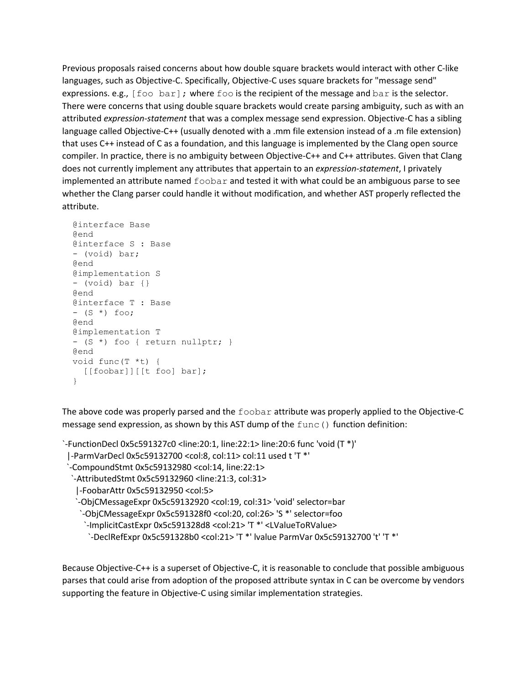Previous proposals raised concerns about how double square brackets would interact with other C-like languages, such as Objective-C. Specifically, Objective-C uses square brackets for "message send" expressions. e.g.,  $[foot\ to\ bar]$ ; where foo is the recipient of the message and bar is the selector. There were concerns that using double square brackets would create parsing ambiguity, such as with an attributed *expression-statement* that was a complex message send expression. Objective-C has a sibling language called Objective-C++ (usually denoted with a .mm file extension instead of a .m file extension) that uses C++ instead of C as a foundation, and this language is implemented by the Clang open source compiler. In practice, there is no ambiguity between Objective-C++ and C++ attributes. Given that Clang does not currently implement any attributes that appertain to an *expression-statement*, I privately implemented an attribute named  $f \circ \circ b$  and tested it with what could be an ambiguous parse to see whether the Clang parser could handle it without modification, and whether AST properly reflected the attribute.

```
 @interface Base
 @end
 @interface S : Base
 - (void) bar;
 @end
 @implementation S
 - (void) bar {}
 @end
 @interface T : Base
- (S *) foo;
 @end
 @implementation T
 - (S *) foo { return nullptr; }
 @end
 void func(T *t) {
  [[foobar]][[t foo] bar];
 }
```
The above code was properly parsed and the foobar attribute was properly applied to the Objective-C message send expression, as shown by this AST dump of the  $func()$  function definition:

```
`-FunctionDecl 0x5c591327c0 <line:20:1, line:22:1> line:20:6 func 'void (T *)'
  |-ParmVarDecl 0x5c59132700 <col:8, col:11> col:11 used t 'T *'
  `-CompoundStmt 0x5c59132980 <col:14, line:22:1>
   `-AttributedStmt 0x5c59132960 <line:21:3, col:31>
    |-FoobarAttr 0x5c59132950 <col:5>
    `-ObjCMessageExpr 0x5c59132920 <col:19, col:31> 'void' selector=bar
     `-ObjCMessageExpr 0x5c591328f0 <col:20, col:26> 'S *' selector=foo
      `-ImplicitCastExpr 0x5c591328d8 <col:21> 'T *' <LValueToRValue>
       `-DeclRefExpr 0x5c591328b0 <col:21> 'T *' lvalue ParmVar 0x5c59132700 't' 'T *'
```
Because Objective-C++ is a superset of Objective-C, it is reasonable to conclude that possible ambiguous parses that could arise from adoption of the proposed attribute syntax in C can be overcome by vendors supporting the feature in Objective-C using similar implementation strategies.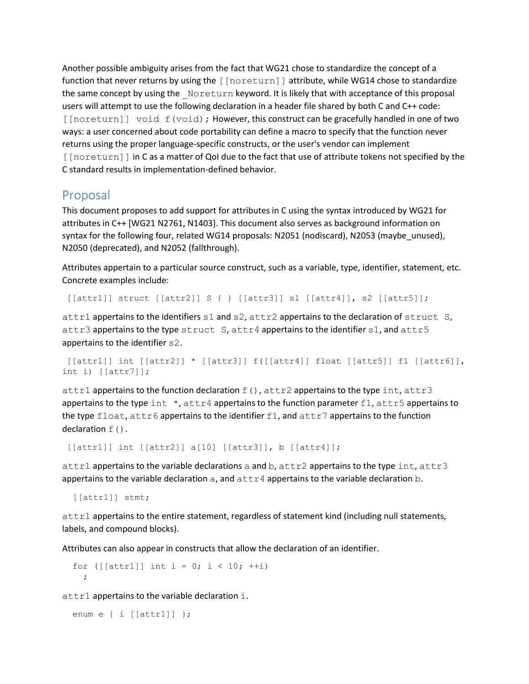Another possible ambiguity arises from the fact that WG21 chose to standardize the concept of a function that never returns by using the [[noreturn]] attribute, while WG14 chose to standardize the same concept by using the Noreturn keyword. It is likely that with acceptance of this proposal users will attempt to use the following declaration in a header file shared by both C and C++ code: [[noreturn]] void f(void); However, this construct can be gracefully handled in one of two ways: a user concerned about code portability can define a macro to specify that the function never returns using the proper language-specific constructs, or the user's vendor can implement [[noreturn]] in C as a matter of QoI due to the fact that use of attribute tokens not specified by the C standard results in implementation-defined behavior.

## Proposal

This document proposes to add support for attributes in C using the syntax introduced by WG21 for attributes in C++ [WG21 N2761, N1403]. This document also serves as background information on syntax for the following four, related WG14 proposals: N2051 (nodiscard), N2053 (maybe\_unused), N2050 (deprecated), and N2052 (fallthrough).

Attributes appertain to a particular source construct, such as a variable, type, identifier, statement, etc. Concrete examples include:

[[attr1]] struct [[attr2]] S { } [[attr3]] s1 [[attr4]], s2 [[attr5]];

attr1 appertains to the identifiers s1 and s2, attr2 appertains to the declaration of struct S, attr3 appertains to the type struct  $S$ , attr4 appertains to the identifier  $s1$ , and attr5 appertains to the identifier s2.

```
[ [attr1] ] int [ [attr2] ] * [ [attr3] ] f([ [attr4] ] ] float [ [attr5] ] f1 [ [attr6] ],
int i) [[[attr7]];
```
attr1 appertains to the function declaration  $f()$ , attr2 appertains to the type int, attr3 appertains to the type int  $\star$ , attr4 appertains to the function parameter f1, attr5 appertains to the type float, attr6 appertains to the identifier f1, and attr7 appertains to the function declaration  $f()$ .

[[attr1]] int [[attr2]] a[10] [[attr3]], b [[attr4]];

attr1 appertains to the variable declarations a and  $b$ , attr2 appertains to the type int, attr3 appertains to the variable declaration  $a$ , and  $a$ ttr4 appertains to the variable declaration  $b$ .

[[attr1]] stmt;

attr1 appertains to the entire statement, regardless of statement kind (including null statements, labels, and compound blocks).

Attributes can also appear in constructs that allow the declaration of an identifier.

for ([[attr1]] int i = 0; i < 10; ++i) ;

attr1 appertains to the variable declaration i.

```
 enum e { i [[attr1]] };
```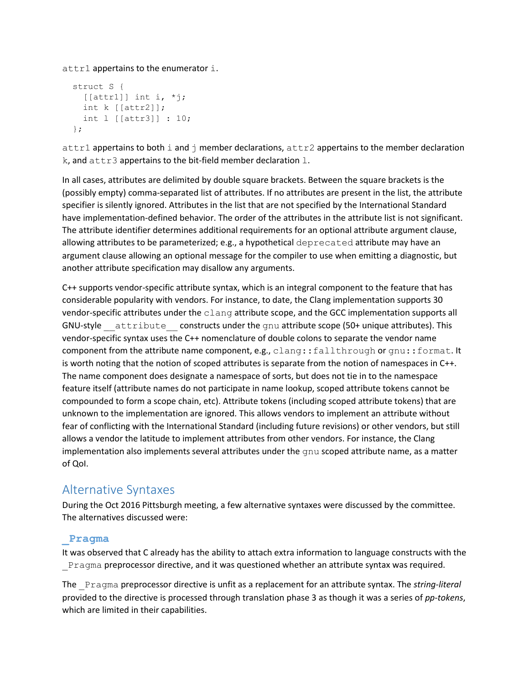attr1 appertains to the enumerator i.

```
 struct S {
 \lceil[[attr1]] int i, *j;
   int k [[attr2]];
   int l [[attr3]] : 10;
 };
```
attr1 appertains to both i and  $\dagger$  member declarations,  $\text{attr2}$  appertains to the member declaration  $k$ , and  $attr3$  appertains to the bit-field member declaration  $l$ .

In all cases, attributes are delimited by double square brackets. Between the square brackets is the (possibly empty) comma-separated list of attributes. If no attributes are present in the list, the attribute specifier is silently ignored. Attributes in the list that are not specified by the International Standard have implementation-defined behavior. The order of the attributes in the attribute list is not significant. The attribute identifier determines additional requirements for an optional attribute argument clause, allowing attributes to be parameterized; e.g., a hypothetical deprecated attribute may have an argument clause allowing an optional message for the compiler to use when emitting a diagnostic, but another attribute specification may disallow any arguments.

C++ supports vendor-specific attribute syntax, which is an integral component to the feature that has considerable popularity with vendors. For instance, to date, the Clang implementation supports 30 vendor-specific attributes under the clang attribute scope, and the GCC implementation supports all GNU-style attribute constructs under the gnu attribute scope (50+ unique attributes). This vendor-specific syntax uses the C++ nomenclature of double colons to separate the vendor name component from the attribute name component, e.g., clang::fallthrough or gnu::format. It is worth noting that the notion of scoped attributes is separate from the notion of namespaces in C++. The name component does designate a namespace of sorts, but does not tie in to the namespace feature itself (attribute names do not participate in name lookup, scoped attribute tokens cannot be compounded to form a scope chain, etc). Attribute tokens (including scoped attribute tokens) that are unknown to the implementation are ignored. This allows vendors to implement an attribute without fear of conflicting with the International Standard (including future revisions) or other vendors, but still allows a vendor the latitude to implement attributes from other vendors. For instance, the Clang implementation also implements several attributes under the gnu scoped attribute name, as a matter of QoI.

# Alternative Syntaxes

During the Oct 2016 Pittsburgh meeting, a few alternative syntaxes were discussed by the committee. The alternatives discussed were:

### **\_Pragma**

It was observed that C already has the ability to attach extra information to language constructs with the Pragma preprocessor directive, and it was questioned whether an attribute syntax was required.

The \_Pragma preprocessor directive is unfit as a replacement for an attribute syntax. The *string-literal* provided to the directive is processed through translation phase 3 as though it was a series of *pp-tokens*, which are limited in their capabilities.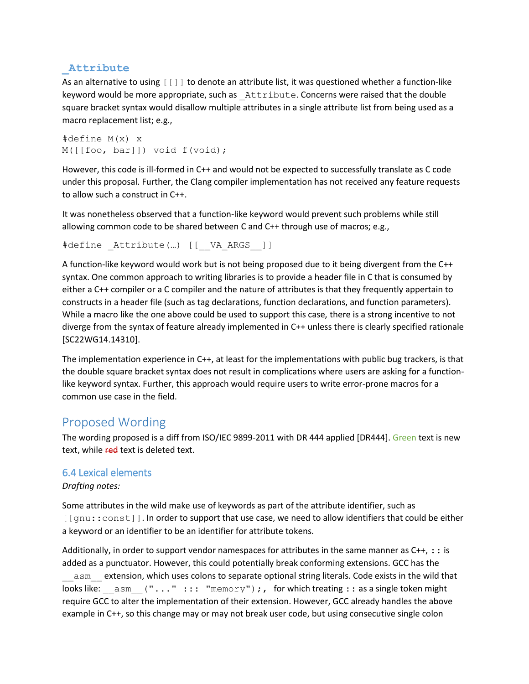### **\_Attribute**

As an alternative to using [[]] to denote an attribute list, it was questioned whether a function-like keyword would be more appropriate, such as Attribute. Concerns were raised that the double square bracket syntax would disallow multiple attributes in a single attribute list from being used as a macro replacement list; e.g.,

```
#define M(x) x
M([[foo, bar]]) void f(void);
```
However, this code is ill-formed in C++ and would not be expected to successfully translate as C code under this proposal. Further, the Clang compiler implementation has not received any feature requests to allow such a construct in C++.

It was nonetheless observed that a function-like keyword would prevent such problems while still allowing common code to be shared between C and C++ through use of macros; e.g.,

#define Attribute(...) [[\_\_VA\_ARGS ]]

A function-like keyword would work but is not being proposed due to it being divergent from the C++ syntax. One common approach to writing libraries is to provide a header file in C that is consumed by either a C++ compiler or a C compiler and the nature of attributes is that they frequently appertain to constructs in a header file (such as tag declarations, function declarations, and function parameters). While a macro like the one above could be used to support this case, there is a strong incentive to not diverge from the syntax of feature already implemented in C++ unless there is clearly specified rationale [SC22WG14.14310].

The implementation experience in C++, at least for the implementations with public bug trackers, is that the double square bracket syntax does not result in complications where users are asking for a functionlike keyword syntax. Further, this approach would require users to write error-prone macros for a common use case in the field.

# Proposed Wording

The wording proposed is a diff from ISO/IEC 9899-2011 with DR 444 applied [DR444]. Green text is new text, while red text is deleted text.

#### 6.4 Lexical elements

#### *Drafting notes:*

Some attributes in the wild make use of keywords as part of the attribute identifier, such as [[gnu::const]]. In order to support that use case, we need to allow identifiers that could be either a keyword or an identifier to be an identifier for attribute tokens.

Additionally, in order to support vendor namespaces for attributes in the same manner as  $C_{++}$ ,  $\pm$ : is added as a punctuator. However, this could potentially break conforming extensions. GCC has the asm extension, which uses colons to separate optional string literals. Code exists in the wild that looks like:  $\alpha$  asm ("..." ::: "memory");, for which treating :: as a single token might require GCC to alter the implementation of their extension. However, GCC already handles the above example in C++, so this change may or may not break user code, but using consecutive single colon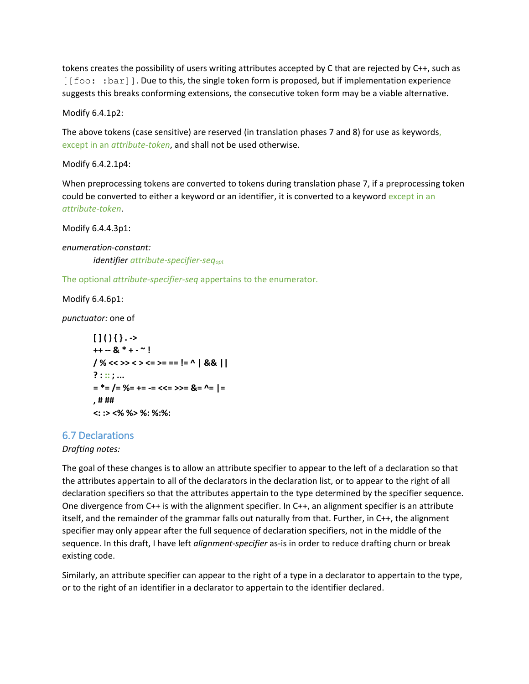tokens creates the possibility of users writing attributes accepted by C that are rejected by C++, such as [[foo: : bar]]. Due to this, the single token form is proposed, but if implementation experience suggests this breaks conforming extensions, the consecutive token form may be a viable alternative.

Modify 6.4.1p2:

The above tokens (case sensitive) are reserved (in translation phases 7 and 8) for use as keywords, except in an *attribute-token*, and shall not be used otherwise.

Modify 6.4.2.1p4:

When preprocessing tokens are converted to tokens during translation phase 7, if a preprocessing token could be converted to either a keyword or an identifier, it is converted to a keyword except in an *attribute-token*.

Modify 6.4.4.3p1:

*enumeration-constant: identifier attribute-specifier-seqopt*

The optional *attribute-specifier-seq* appertains to the enumerator.

Modify 6.4.6p1:

*punctuator:* one of

```
[1(){}. ->
++ -- & * + - ~ !
/ % << >> < > <= >= == != ^ | && ||
? : :: ; ...
= *= /= %= += -= <<= >>= &= ^= |=
, # ##
<: :> <% %> %: %:%:
```
#### 6.7 Declarations

*Drafting notes:*

The goal of these changes is to allow an attribute specifier to appear to the left of a declaration so that the attributes appertain to all of the declarators in the declaration list, or to appear to the right of all declaration specifiers so that the attributes appertain to the type determined by the specifier sequence. One divergence from C++ is with the alignment specifier. In C++, an alignment specifier is an attribute itself, and the remainder of the grammar falls out naturally from that. Further, in C++, the alignment specifier may only appear after the full sequence of declaration specifiers, not in the middle of the sequence. In this draft, I have left *alignment-specifier* as-is in order to reduce drafting churn or break existing code.

Similarly, an attribute specifier can appear to the right of a type in a declarator to appertain to the type, or to the right of an identifier in a declarator to appertain to the identifier declared.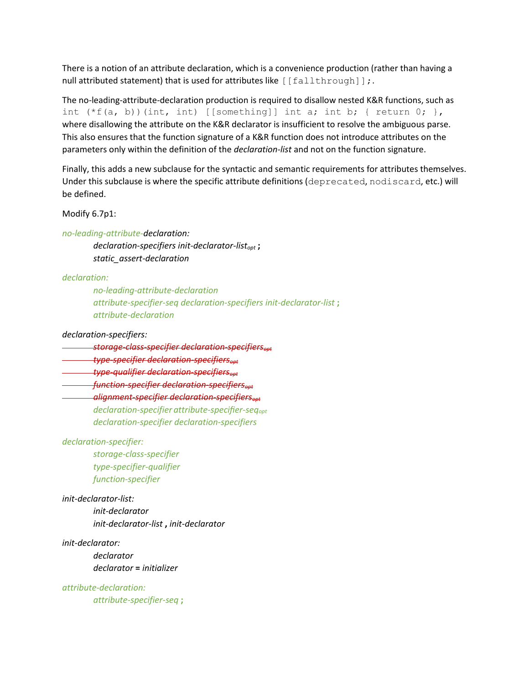There is a notion of an attribute declaration, which is a convenience production (rather than having a null attributed statement) that is used for attributes like [[fallthrough]];.

The no-leading-attribute-declaration production is required to disallow nested K&R functions, such as int  $(*f(a, b))$  (int, int) [[something]] int a; int b; { return 0; }, where disallowing the attribute on the K&R declarator is insufficient to resolve the ambiguous parse. This also ensures that the function signature of a K&R function does not introduce attributes on the parameters only within the definition of the *declaration-list* and not on the function signature.

Finally, this adds a new subclause for the syntactic and semantic requirements for attributes themselves. Under this subclause is where the specific attribute definitions (deprecated, nodiscard, etc.) will be defined.

Modify 6.7p1:

*no-leading-attribute-declaration: declaration-specifiers init-declarator-listopt* **;** *static\_assert-declaration*

*declaration:*

*no-leading-attribute-declaration attribute-specifier-seq declaration-specifiers init-declarator-list* **;** *attribute-declaration*

*declaration-specifiers:*

*storage-class-specifier declaration-specifiersopt*

*type-specifier declaration-specifiersopt*

*type-qualifier declaration-specifiersopt*

*function-specifier declaration-specifiersopt*

*alignment-specifier declaration-specifiersopt declaration-specifier attribute-specifier-seqopt declaration-specifier declaration-specifiers*

*declaration-specifier:*

*storage-class-specifier type-specifier-qualifier function-specifier*

*init-declarator-list:*

*init-declarator init-declarator-list* **,** *init-declarator*

*init-declarator: declarator declarator* **=** *initializer*

*attribute-declaration: attribute-specifier-seq* **;**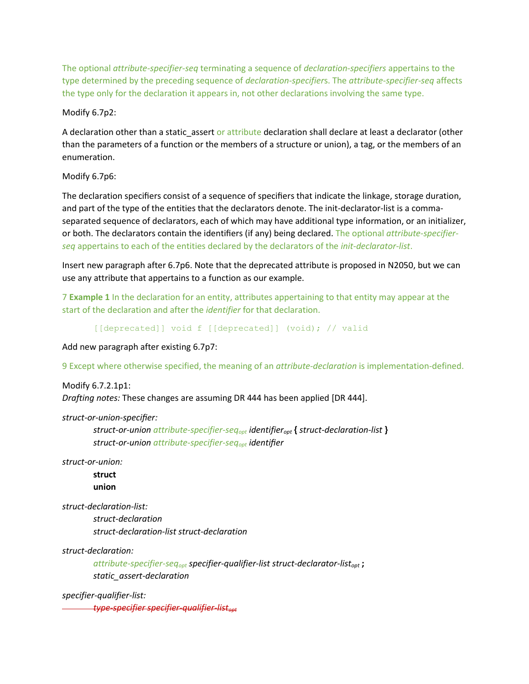The optional *attribute-specifier-seq* terminating a sequence of *declaration-specifiers* appertains to the type determined by the preceding sequence of *declaration-specifier*s. The *attribute-specifier-seq* affects the type only for the declaration it appears in, not other declarations involving the same type.

#### Modify 6.7p2:

A declaration other than a static\_assert or attribute declaration shall declare at least a declarator (other than the parameters of a function or the members of a structure or union), a tag, or the members of an enumeration.

#### Modify 6.7p6:

The declaration specifiers consist of a sequence of specifiers that indicate the linkage, storage duration, and part of the type of the entities that the declarators denote. The init-declarator-list is a commaseparated sequence of declarators, each of which may have additional type information, or an initializer, or both. The declarators contain the identifiers (if any) being declared. The optional *attribute-specifierseq* appertains to each of the entities declared by the declarators of the *init-declarator-list*.

Insert new paragraph after 6.7p6. Note that the deprecated attribute is proposed in N2050, but we can use any attribute that appertains to a function as our example.

7 **Example 1** In the declaration for an entity, attributes appertaining to that entity may appear at the start of the declaration and after the *identifier* for that declaration.

[[deprecated]] void f [[deprecated]] (void); // valid

Add new paragraph after existing 6.7p7:

9 Except where otherwise specified, the meaning of an *attribute-declaration* is implementation-defined.

Modify 6.7.2.1p1: *Drafting notes:* These changes are assuming DR 444 has been applied [DR 444].

#### *struct-or-union-specifier:*

*struct-or-union attribute-specifier-seqopt identifieropt* **{** *struct-declaration-list* **}** *struct-or-union attribute-specifier-seqopt identifier*

*struct-or-union:*

**struct union**

*struct-declaration-list:*

*struct-declaration struct-declaration-list struct-declaration*

#### *struct-declaration:*

*attribute-specifier-seqopt specifier-qualifier-list struct-declarator-listopt* **;** *static\_assert-declaration*

*specifier-qualifier-list: type-specifier specifier-qualifier-listopt*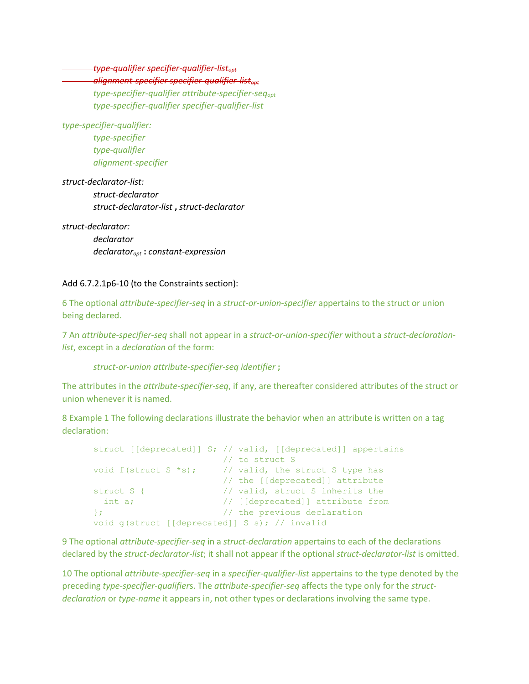*type-qualifier specifier-qualifier-listopt*

### *alignment-specifier specifier-qualifier-listopt*

*type-specifier-qualifier attribute-specifier-seqopt type-specifier-qualifier specifier-qualifier-list*

*type-specifier-qualifier: type-specifier type-qualifier alignment-specifier*

*struct-declarator-list: struct-declarator struct-declarator-list* **,** *struct-declarator*

*struct-declarator: declarator declaratoropt* **:** *constant-expression*

#### Add 6.7.2.1p6-10 (to the Constraints section):

6 The optional *attribute-specifier-seq* in a *struct-or-union-specifier* appertains to the struct or union being declared.

7 An *attribute-specifier-seq* shall not appear in a *struct-or-union-specifier* without a *struct-declarationlist*, except in a *declaration* of the form:

*struct-or-union attribute-specifier-seq identifier* **;**

The attributes in the *attribute-specifier-seq*, if any, are thereafter considered attributes of the struct or union whenever it is named.

8 Example 1 The following declarations illustrate the behavior when an attribute is written on a tag declaration:

```
struct [[deprecated]] S; // valid, [[deprecated]] appertains
 // to struct S
void f(struct S *s); \frac{1}{2} // valid, the struct S type has
                      // the [[deprecated]] attribute
struct S { \frac{1}{2} // valid, struct S inherits the
 int a; \frac{1}{\sqrt{2}} [[deprecated]] attribute from
}; // the previous declaration
void g(struct [[deprecated]] S s); // invalid
```
9 The optional *attribute-specifier-seq* in a *struct-declaration* appertains to each of the declarations declared by the *struct-declarator-list*; it shall not appear if the optional *struct-declarator-list* is omitted.

10 The optional *attribute-specifier-seq* in a *specifier-qualifier-list* appertains to the type denoted by the preceding *type-specifier-qualifier*s. The *attribute-specifier-seq* affects the type only for the *structdeclaration* or *type-name* it appears in, not other types or declarations involving the same type.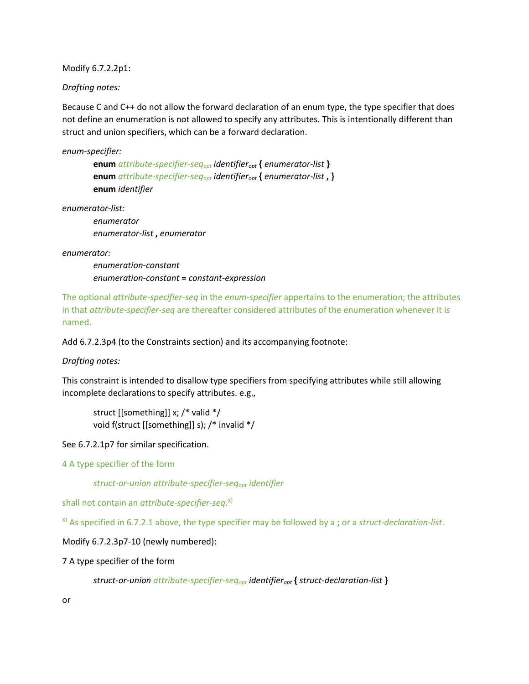Modify 6.7.2.2p1:

*Drafting notes:*

Because C and C++ do not allow the forward declaration of an enum type, the type specifier that does not define an enumeration is not allowed to specify any attributes. This is intentionally different than struct and union specifiers, which can be a forward declaration.

*enum-specifier:*

**enum** *attribute-specifier-seqopt identifieropt* **{** *enumerator-list* **} enum** *attribute-specifier-seqopt identifieropt* **{** *enumerator-list* **, } enum** *identifier*

*enumerator-list:*

*enumerator enumerator-list* **,** *enumerator*

*enumerator:*

*enumeration-constant enumeration-constant* **=** *constant-expression*

The optional *attribute-specifier-seq* in the *enum-specifier* appertains to the enumeration; the attributes in that *attribute-specifier-seq* are thereafter considered attributes of the enumeration whenever it is named.

Add 6.7.2.3p4 (to the Constraints section) and its accompanying footnote:

*Drafting notes:*

This constraint is intended to disallow type specifiers from specifying attributes while still allowing incomplete declarations to specify attributes. e.g.,

struct [[something]] x; /\* valid \*/ void f(struct [[something]] s); /\* invalid \*/

See 6.7.2.1p7 for similar specification.

4 A type specifier of the form

*struct-or-union attribute-specifier-seqopt identifier*

shall not contain an *attribute-specifier-seq*. X)

X) As specified in 6.7.2.1 above, the type specifier may be followed by a **;** or a *struct-declaration-list*.

Modify 6.7.2.3p7-10 (newly numbered):

7 A type specifier of the form

*struct-or-union attribute-specifier-seqopt identifieropt* **{** *struct-declaration-list* **}**

or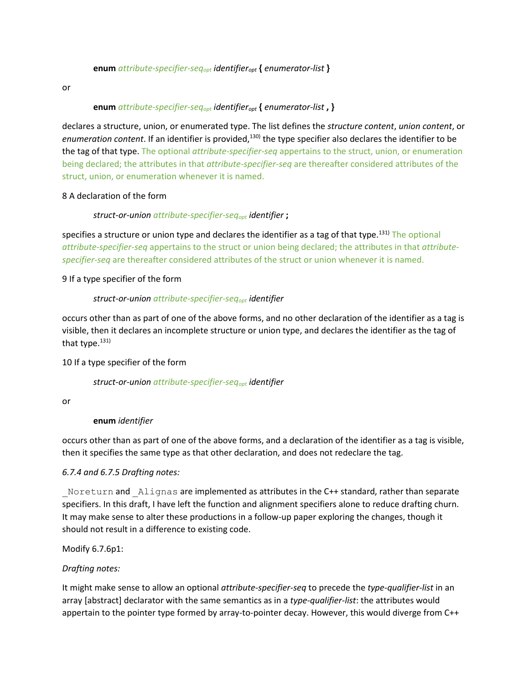#### **enum** *attribute-specifier-seqopt identifieropt* **{** *enumerator-list* **}**

or

#### **enum** *attribute-specifier-seqopt identifieropt* **{** *enumerator-list* **, }**

declares a structure, union, or enumerated type. The list defines the *structure content*, *union content*, or enumeration content. If an identifier is provided,<sup>130)</sup> the type specifier also declares the identifier to be the tag of that type. The optional *attribute-specifier-seq* appertains to the struct, union, or enumeration being declared; the attributes in that *attribute-specifier-seq* are thereafter considered attributes of the struct, union, or enumeration whenever it is named.

#### 8 A declaration of the form

#### *struct-or-union attribute-specifier-seqopt identifier* **;**

specifies a structure or union type and declares the identifier as a tag of that type.<sup>131)</sup> The optional *attribute-specifier-seq* appertains to the struct or union being declared; the attributes in that *attributespecifier-seq* are thereafter considered attributes of the struct or union whenever it is named.

#### 9 If a type specifier of the form

#### *struct-or-union attribute-specifier-seqopt identifier*

occurs other than as part of one of the above forms, and no other declaration of the identifier as a tag is visible, then it declares an incomplete structure or union type, and declares the identifier as the tag of that type. $131$ 

#### 10 If a type specifier of the form

#### *struct-or-union attribute-specifier-seqopt identifier*

or

#### **enum** *identifier*

occurs other than as part of one of the above forms, and a declaration of the identifier as a tag is visible, then it specifies the same type as that other declaration, and does not redeclare the tag.

#### *6.7.4 and 6.7.5 Drafting notes:*

Noreturn and Alignas are implemented as attributes in the C++ standard, rather than separate specifiers. In this draft, I have left the function and alignment specifiers alone to reduce drafting churn. It may make sense to alter these productions in a follow-up paper exploring the changes, though it should not result in a difference to existing code.

Modify 6.7.6p1:

#### *Drafting notes:*

It might make sense to allow an optional *attribute-specifier-seq* to precede the *type-qualifier-list* in an array [abstract] declarator with the same semantics as in a *type-qualifier-list*: the attributes would appertain to the pointer type formed by array-to-pointer decay. However, this would diverge from C++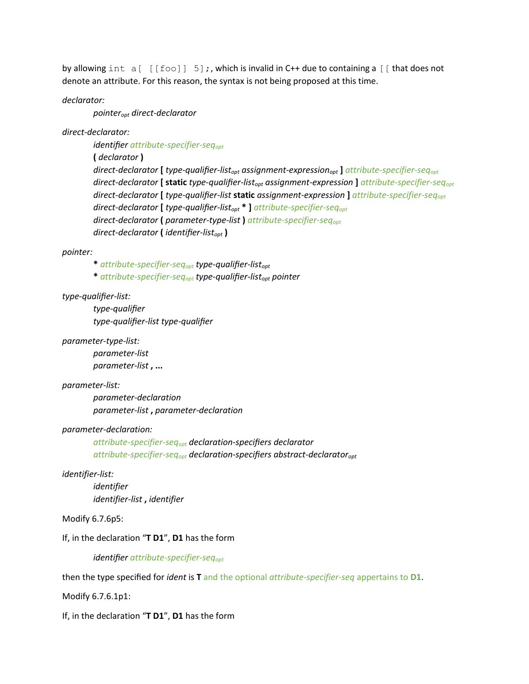by allowing int  $a[ [foo]] 5]$ ;, which is invalid in C++ due to containing a  $[$  that does not denote an attribute. For this reason, the syntax is not being proposed at this time.

*declarator:*

*pointeropt direct-declarator*

*direct-declarator:*

*identifier attribute-specifier-seqopt*

**(** *declarator* **)**

*direct-declarator* **[** *type-qualifier-listopt assignment-expressionopt* **]** *attribute-specifier-seqopt direct-declarator* **[ static** *type-qualifier-listopt assignment-expression* **]** *attribute-specifier-seqopt direct-declarator* **[** *type-qualifier-list* **static** *assignment-expression* **]** *attribute-specifier-seqopt direct-declarator* **[** *type-qualifier-listopt* **\* ]** *attribute-specifier-seqopt direct-declarator* **(** *parameter-type-list* **)** *attribute-specifier-seqopt direct-declarator* **(** *identifier-listopt* **)**

#### *pointer:*

**\*** *attribute-specifier-seqopt type-qualifier-listopt*

**\*** *attribute-specifier-seqopt type-qualifier-listopt pointer*

#### *type-qualifier-list:*

*type-qualifier type-qualifier-list type-qualifier*

#### *parameter-type-list:*

*parameter-list parameter-list* **, ...**

#### *parameter-list:*

*parameter-declaration parameter-list* **,** *parameter-declaration*

#### *parameter-declaration:*

*attribute-specifier-seqopt declaration-specifiers declarator attribute-specifier-seqopt declaration-specifiers abstract-declaratoropt*

#### *identifier-list:*

*identifier identifier-list* **,** *identifier*

#### Modify 6.7.6p5:

If, in the declaration "**T D1**", **D1** has the form

*identifier attribute-specifier-seqopt*

then the type specified for *ident* is **T** and the optional *attribute-specifier-seq* appertains to **D1**.

Modify 6.7.6.1p1:

If, in the declaration "**T D1**", **D1** has the form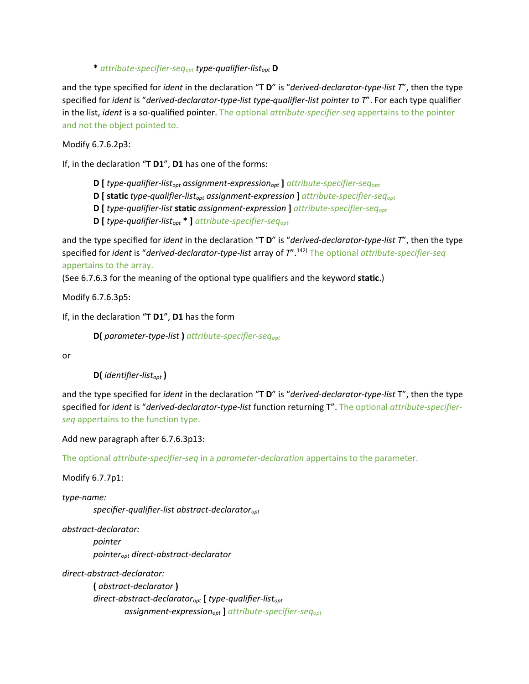**\*** *attribute-specifier-seqopt type-qualifier-listopt* **D**

and the type specified for *ident* in the declaration "**T D**" is "*derived-declarator-type-list T*", then the type specified for *ident* is "*derived-declarator-type-list type-qualifier-list pointer to T*". For each type qualifier in the list, *ident* is a so-qualified pointer. The optional *attribute-specifier-seq* appertains to the pointer and not the object pointed to.

Modify 6.7.6.2p3:

If, in the declaration "**T D1**", **D1** has one of the forms:

**D [** *type-qualifier-listopt assignment-expressionopt* **]** *attribute-specifier-seqopt*

**D [ static** *type-qualifier-listopt assignment-expression* **]** *attribute-specifier-seqopt*

**D [** *type-qualifier-list* **static** *assignment-expression* **]** *attribute-specifier-seqopt*

**D [** *type-qualifier-listopt* **\* ]** *attribute-specifier-seqopt*

and the type specified for *ident* in the declaration "**T D**" is "*derived-declarator-type-list T*", then the type specified for *ident* is "*derived-declarator-type-list* array of *T*".142) The optional *attribute-specifier-seq* appertains to the array.

(See 6.7.6.3 for the meaning of the optional type qualifiers and the keyword **static**.)

Modify 6.7.6.3p5:

If, in the declaration "**T D1**", **D1** has the form

**D(** *parameter-type-list* **)** *attribute-specifier-seqopt*

or

**D(** *identifier-listopt* **)**

and the type specified for *ident* in the declaration "**T D**" is "*derived-declarator-type-list* T", then the type specified for *ident* is "*derived-declarator-type-list* function returning T". The optional *attribute-specifierseq* appertains to the function type.

Add new paragraph after 6.7.6.3p13:

The optional *attribute-specifier-seq* in a *parameter-declaration* appertains to the parameter.

Modify 6.7.7p1:

*type-name:*

*specifier-qualifier-list abstract-declaratoropt*

*abstract-declarator:*

*pointer pointeropt direct-abstract-declarator*

*direct-abstract-declarator:*

**(** *abstract-declarator* **)** *direct-abstract-declaratoropt* **[** *type-qualifier-listopt assignment-expressionopt* **]** *attribute-specifier-seqopt*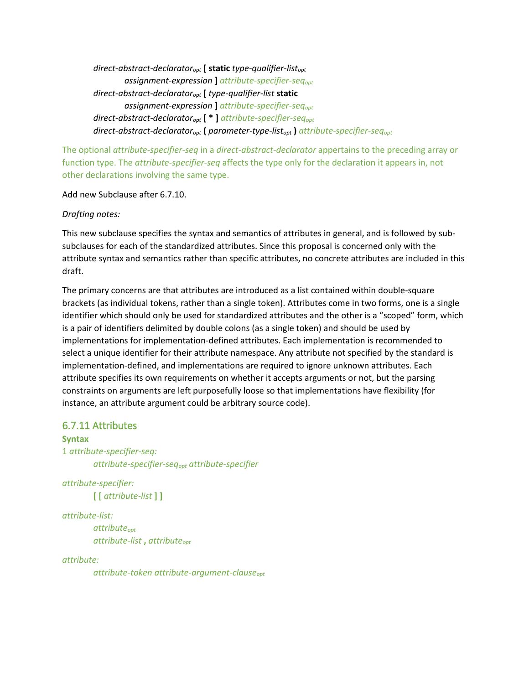*direct-abstract-declaratoropt* **[ static** *type-qualifier-listopt assignment-expression* **]** *attribute-specifier-seqopt direct-abstract-declaratoropt* **[** *type-qualifier-list* **static** *assignment-expression* **]** *attribute-specifier-seqopt direct-abstract-declaratoropt* **[ \* ]** *attribute-specifier-seqopt direct-abstract-declaratoropt* **(** *parameter-type-listopt* **)** *attribute-specifier-seqopt*

The optional *attribute-specifier-seq* in a *direct-abstract-declarator* appertains to the preceding array or function type. The *attribute-specifier-seq* affects the type only for the declaration it appears in, not other declarations involving the same type.

Add new Subclause after 6.7.10.

*Drafting notes:*

This new subclause specifies the syntax and semantics of attributes in general, and is followed by subsubclauses for each of the standardized attributes. Since this proposal is concerned only with the attribute syntax and semantics rather than specific attributes, no concrete attributes are included in this draft.

The primary concerns are that attributes are introduced as a list contained within double-square brackets (as individual tokens, rather than a single token). Attributes come in two forms, one is a single identifier which should only be used for standardized attributes and the other is a "scoped" form, which is a pair of identifiers delimited by double colons (as a single token) and should be used by implementations for implementation-defined attributes. Each implementation is recommended to select a unique identifier for their attribute namespace. Any attribute not specified by the standard is implementation-defined, and implementations are required to ignore unknown attributes. Each attribute specifies its own requirements on whether it accepts arguments or not, but the parsing constraints on arguments are left purposefully loose so that implementations have flexibility (for instance, an attribute argument could be arbitrary source code).

### 6.7.11 Attributes

**Syntax** 1 *attribute-specifier-seq: attribute-specifier-seqopt attribute-specifier*

*attribute-specifier:* **[ [** *attribute-list* **] ]**

*attribute-list:*

*attributeopt attribute-list* **,** *attributeopt*

*attribute:*

*attribute-token attribute-argument-clauseopt*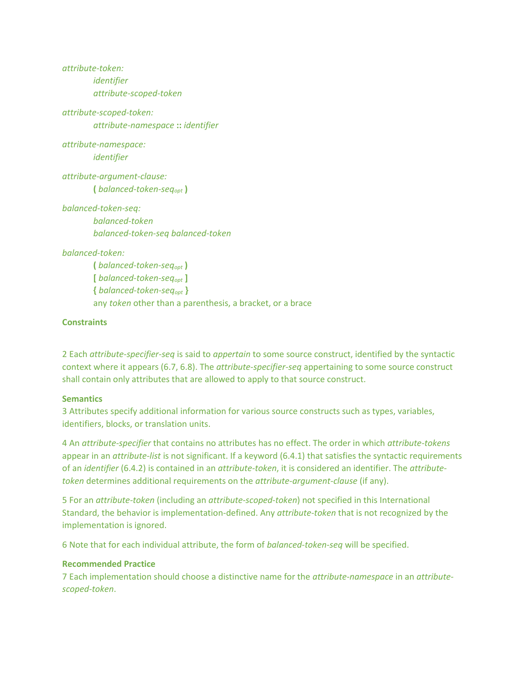*attribute-token: identifier attribute-scoped-token*

*attribute-scoped-token: attribute-namespace* **::** *identifier*

*attribute-namespace: identifier*

*attribute-argument-clause:* **(** *balanced-token-seqopt* **)**

*balanced-token-seq: balanced-token balanced-token-seq balanced-token*

#### *balanced-token:*

**(** *balanced-token-seqopt* **) [** *balanced-token-seqopt* **] {** *balanced-token-seqopt* **}** any *token* other than a parenthesis, a bracket, or a brace

#### **Constraints**

2 Each *attribute-specifier-seq* is said to *appertain* to some source construct, identified by the syntactic context where it appears (6.7, 6.8). The *attribute-specifier-seq* appertaining to some source construct shall contain only attributes that are allowed to apply to that source construct.

#### **Semantics**

3 Attributes specify additional information for various source constructs such as types, variables, identifiers, blocks, or translation units.

4 An *attribute-specifier* that contains no attributes has no effect. The order in which *attribute-tokens* appear in an *attribute-list* is not significant. If a keyword (6.4.1) that satisfies the syntactic requirements of an *identifier* (6.4.2) is contained in an *attribute-token*, it is considered an identifier. The *attributetoken* determines additional requirements on the *attribute-argument-clause* (if any).

5 For an *attribute-token* (including an *attribute-scoped-token*) not specified in this International Standard, the behavior is implementation-defined. Any *attribute-token* that is not recognized by the implementation is ignored.

6 Note that for each individual attribute, the form of *balanced-token-seq* will be specified.

#### **Recommended Practice**

7 Each implementation should choose a distinctive name for the *attribute-namespace* in an *attributescoped-token*.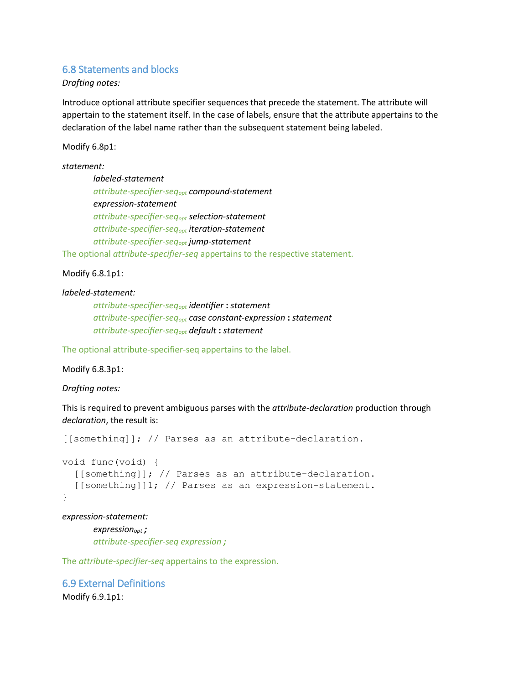#### 6.8 Statements and blocks

*Drafting notes:*

Introduce optional attribute specifier sequences that precede the statement. The attribute will appertain to the statement itself. In the case of labels, ensure that the attribute appertains to the declaration of the label name rather than the subsequent statement being labeled.

Modify 6.8p1:

*statement: labeled-statement attribute-specifier-seqopt compound-statement expression-statement attribute-specifier-seqopt selection-statement attribute-specifier-seqopt iteration-statement attribute-specifier-seqopt jump-statement*

The optional *attribute-specifier-seq* appertains to the respective statement.

#### Modify 6.8.1p1:

#### *labeled-statement:*

*attribute-specifier-seqopt identifier* **:** *statement attribute-specifier-seqopt case constant-expression* **:** *statement attribute-specifier-seqopt default* **:** *statement*

The optional attribute-specifier-seq appertains to the label.

#### Modify 6.8.3p1:

#### *Drafting notes:*

This is required to prevent ambiguous parses with the *attribute-declaration* production through *declaration*, the result is:

[[something]]; // Parses as an attribute-declaration.

```
void func(void) {
   [[something]]; // Parses as an attribute-declaration.
   [[something]]1; // Parses as an expression-statement.
}
```
*expression-statement:*

*expressionopt ; attribute-specifier-seq expression ;*

The *attribute-specifier-seq* appertains to the expression.

# 6.9 External Definitions

Modify 6.9.1p1: